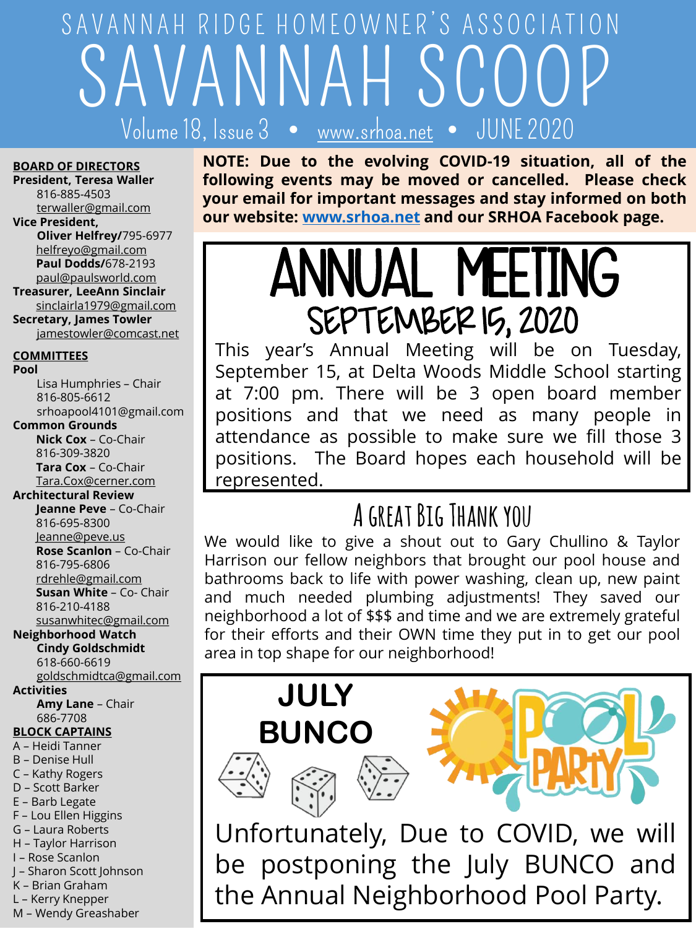# SAVANNAH SCOOP Volume 18, Issue  $3 \bullet$ SAVANNAH RIDGE HOMEOWNER'S ASSOCIATION

#### **BOARD OF DIRECTORS**

**President, Teresa Waller** 816-885-4503 [terwaller@gmail.com](mailto:terwaller@gmail.com)

#### **Vice President,**

**Oliver Helfrey/**795-6977 [helfreyo@gmail.com](mailto:helfreyo@gmail.com) **Paul Dodds/**678-2193 [paul@paulsworld.com](mailto:paul@paulsworld.com)

**Treasurer, LeeAnn Sinclair** sinclairla1979@gmail.com

**Secretary, James Towler** [jamestowler@comcast.net](mailto:jamestowler@comcast.net)

#### **COMMITTEES**

**Pool**

Lisa Humphries – Chair 816-805-6612 srhoapool4101@gmail.com

#### **Common Grounds**

**Nick Cox** – Co-Chair 816-309-3820 **Tara Cox** – Co-Chair [Tara.Cox@cerner.com](mailto:Tara.Cox@cerner.com)

#### **Architectural Review**

**Jeanne Peve** – Co-Chair 816-695-8300 Je[anne@peve.us](mailto:eanne@peve.us) **Rose Scanlon** – Co-Chair 816-795-6806 [rdrehle@gmail.com](mailto:rdrehle@gmail.com) **Susan White** – Co- Chair 816-210-4188 [susanwhitec@gmail.com](mailto:drehle@gmail.com)

#### **Neighborhood Watch Cindy Goldschmidt**

618-660-6619 [goldschmidtca@gmail.com](mailto:goldschmidtca@gmail.com)

#### **Activities**

**Amy Lane** – Chair 686-7708

#### **BLOCK CAPTAINS**

- A Heidi Tanner
- B Denise Hull
- C Kathy Rogers
- D Scott Barker
- E Barb Legate
- F Lou Ellen Higgins
- G Laura Roberts
- H Taylor Harrison I – Rose Scanlon
- J Sharon Scott Johnson
- K Brian Graham
- L Kerry Knepper
- M Wendy Greashaber

**NOTE: Due to the evolving COVID-19 situation, all of the following events may be moved or cancelled. Please check your email for important messages and stay informed on both our website: [www.srhoa.net](http://www.srhoa.net/) and our SRHOA Facebook page.**

# ANNUAL MEETING SEPTEMBER 15, 2020

This year's Annual Meeting will be on Tuesday, September 15, at Delta Woods Middle School starting at 7:00 pm. There will be 3 open board member positions and that we need as many people in attendance as possible to make sure we fill those 3 positions. The Board hopes each household will be represented.

### **A great Big Thank you**

We would like to give a shout out to Gary Chullino & Taylor Harrison our fellow neighbors that brought our pool house and bathrooms back to life with power washing, clean up, new paint and much needed plumbing adjustments! They saved our neighborhood a lot of \$\$\$ and time and we are extremely grateful for their efforts and their OWN time they put in to get our pool area in top shape for our neighborhood!